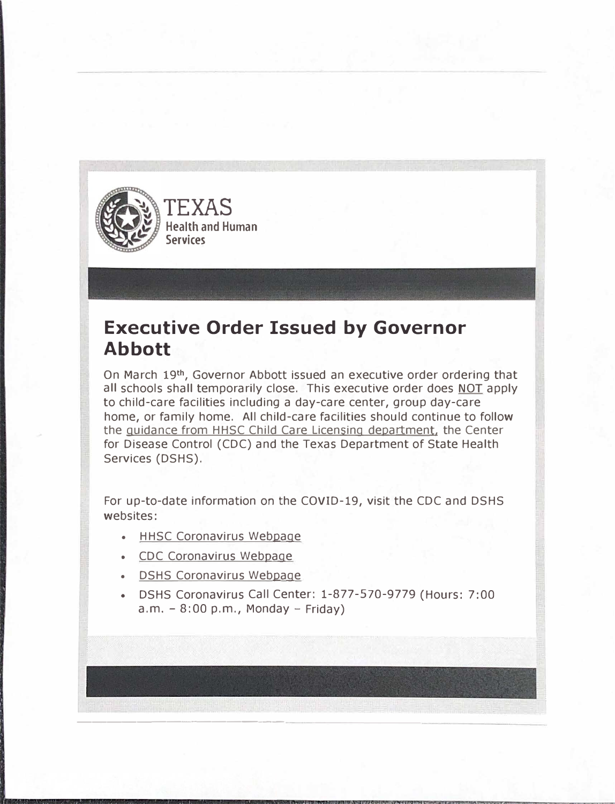

## **Executive Order Issued by Governor Abbott**

On March 19<sup>th</sup>, Governor Abbott issued an executive order ordering that all schools shall temporarily close. This executive order does NOT apply to child-care facilities including a day-care center, group day-care home, or family home. All child-care facilities should continue to follow the guidance from HHSC Child Care Licensing department, the Center for Disease Control (CDC) and the Texas Department of State Health Services (DSHS).

- HHSC Coronavirus Webpage
- CDC Coronavirus Webpage
- DSHS Coronavirus Webpage
- DSHS Coronavirus Call Center: 1-877-570-9779 (Hours: 7:00  $a.m. - 8:00 p.m.,$  Monday - Friday)

For up-to-date information on the COVID-19, visit the CDC and DSHS websites:

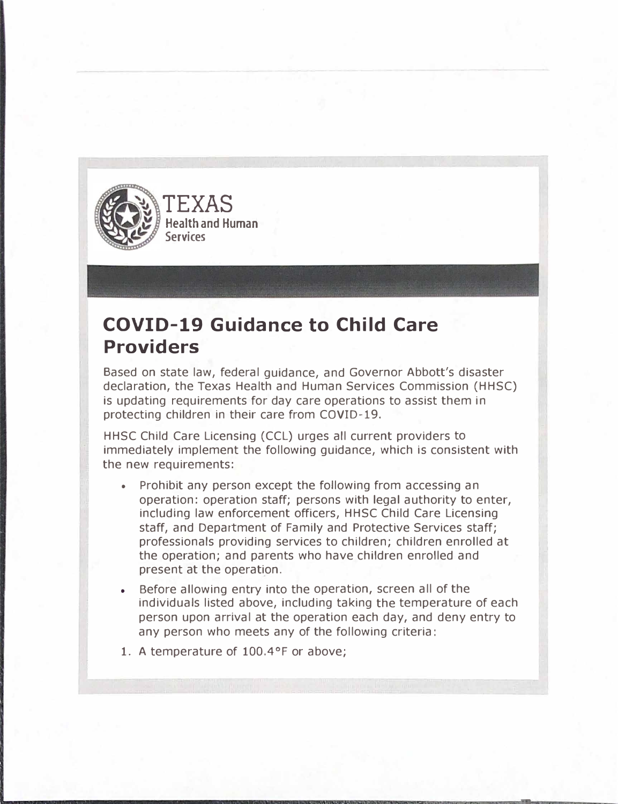

## **COVID-19 Guidance to Child Care Providers**

Based on state law, federal guidance, and Governor Abbott's disaster declaration, the Texas Health and Human Services Commission (HHSC) is updating requirements for day care operations to assist them in protecting children in their care from COVID-19.

HHSC Child Care Licensing (CCL) urges all current providers to immediately implement the following guidance, which is consistent with the new requirements:

- Prohibit any person except the following from accessing an operation: operation staff; persons with legal authority to enter, including law enforcement officers, HHSC Child Care Licensing staff, and Department of Family and Protective Services staff; professionals providing services to children; children enrolled at the operation; and parents who have children enrolled and present at the operation.
- Before allowing entry into the operation, screen all of the individuals listed above, including taking the temperature of each person upon arrival at the operation each day, and deny entry to any person who meets any of the following criteria: